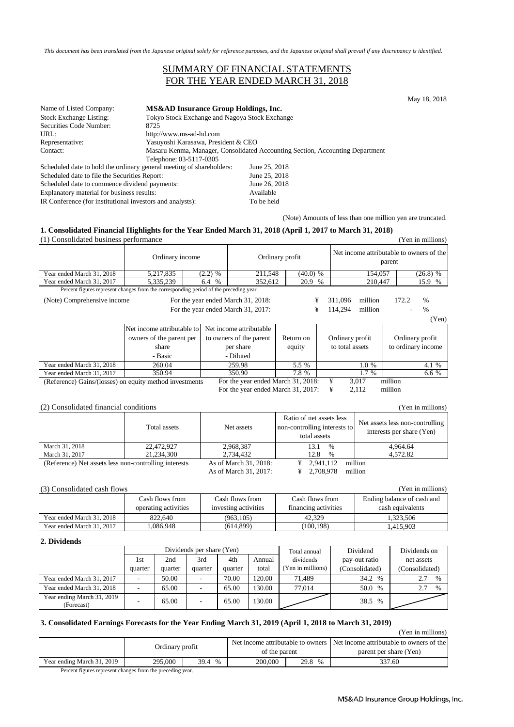*This document has been translated from the Japanese original solely for reference purposes, and the Japanese original shall prevail if any discrepancy is identified.*

### SUMMARY OF FINANCIAL STATEMENTS FOR THE YEAR ENDED MARCH 31, 2018

May 18, 2018

| Name of Listed Company:                                              | MS&AD Insurance Group Holdings, Inc.           |                                                                               |  |  |  |
|----------------------------------------------------------------------|------------------------------------------------|-------------------------------------------------------------------------------|--|--|--|
| <b>Stock Exchange Listing:</b>                                       | Tokyo Stock Exchange and Nagoya Stock Exchange |                                                                               |  |  |  |
| Securities Code Number:                                              | 8725                                           |                                                                               |  |  |  |
| URL:                                                                 | http://www.ms-ad-hd.com                        |                                                                               |  |  |  |
| Representative:                                                      | Yasuyoshi Karasawa, President & CEO            |                                                                               |  |  |  |
| Contact:                                                             |                                                | Masaru Kenma, Manager, Consolidated Accounting Section, Accounting Department |  |  |  |
|                                                                      | Telephone: 03-5117-0305                        |                                                                               |  |  |  |
| Scheduled date to hold the ordinary general meeting of shareholders: |                                                | June 25, 2018                                                                 |  |  |  |
| Scheduled date to file the Securities Report:                        |                                                | June 25, 2018                                                                 |  |  |  |
| Scheduled date to commence dividend payments:                        |                                                | June 26, 2018                                                                 |  |  |  |
| Explanatory material for business results:                           |                                                | Available                                                                     |  |  |  |

IR Conference (for institutional investors and analysts): To be held

(Note) Amounts of less than one million yen are truncated.

#### **1. Consolidated Financial Highlights for the Year Ended March 31, 2018 (April 1, 2017 to March 31, 2018)**

| $\frac{1}{2}$ and $\frac{1}{2}$ and $\frac{1}{2}$ and $\frac{1}{2}$ and $\frac{1}{2}$ and $\frac{1}{2}$ and $\frac{1}{2}$ and $\frac{1}{2}$ and $\frac{1}{2}$ and $\frac{1}{2}$ and $\frac{1}{2}$ and $\frac{1}{2}$ and $\frac{1}{2}$ and $\frac{1}{2}$ and $\frac{1}{2}$ and $\frac{1}{2}$ a<br>(1) Consolidated business performance<br>(Yen in millions) |                                                                                        |             |                                                                              |                     |              |                                                    |                |                    |                                       |
|-------------------------------------------------------------------------------------------------------------------------------------------------------------------------------------------------------------------------------------------------------------------------------------------------------------------------------------------------------------|----------------------------------------------------------------------------------------|-------------|------------------------------------------------------------------------------|---------------------|--------------|----------------------------------------------------|----------------|--------------------|---------------------------------------|
|                                                                                                                                                                                                                                                                                                                                                             | Ordinary income                                                                        |             | Ordinary profit                                                              |                     |              | Net income attributable to owners of the<br>parent |                |                    |                                       |
| Year ended March 31, 2018                                                                                                                                                                                                                                                                                                                                   | 5,217,835                                                                              | $(2.2)$ %   | 211,548                                                                      |                     | $(40.0)$ %   |                                                    | 154,057        |                    | $(26.8)$ %                            |
| Year ended March 31, 2017                                                                                                                                                                                                                                                                                                                                   | 5,335,239                                                                              | $\%$<br>6.4 | 352,612                                                                      |                     | 20.9<br>$\%$ |                                                    | 210,447        |                    | 15.9<br>%                             |
|                                                                                                                                                                                                                                                                                                                                                             | Percent figures represent changes from the corresponding period of the preceding year. |             |                                                                              |                     |              |                                                    |                |                    |                                       |
| ¥<br>million<br>For the year ended March 31, 2018:<br>311,096<br>172.2<br>$\frac{0}{6}$<br>(Note) Comprehensive income                                                                                                                                                                                                                                      |                                                                                        |             |                                                                              |                     |              |                                                    |                |                    |                                       |
| ¥<br>For the year ended March 31, 2017:                                                                                                                                                                                                                                                                                                                     |                                                                                        |             | 114,294                                                                      | million             |              | $\%$                                               |                |                    |                                       |
|                                                                                                                                                                                                                                                                                                                                                             |                                                                                        |             |                                                                              |                     |              |                                                    |                |                    | (Yen)                                 |
|                                                                                                                                                                                                                                                                                                                                                             | Net income attributable to<br>owners of the parent per<br>share<br>- Basic             |             | Net income attributable<br>to owners of the parent<br>per share<br>- Diluted | Return on<br>equity |              | Ordinary profit<br>to total assets                 |                |                    | Ordinary profit<br>to ordinary income |
| Year ended March 31, 2018                                                                                                                                                                                                                                                                                                                                   | 260.04                                                                                 |             | 259.98                                                                       | 5.5 %               |              |                                                    | 1.0 %          |                    | 4.1 %                                 |
| Year ended March 31, 2017                                                                                                                                                                                                                                                                                                                                   | 350.94                                                                                 |             | 350.90                                                                       | 7.8 %               |              |                                                    | 1.7 %          |                    | 6.6 %                                 |
| (Reference) Gains/(losses) on equity method investments                                                                                                                                                                                                                                                                                                     |                                                                                        |             | For the year ended March 31, 2018:<br>For the year ended March 31, 2017:     |                     |              | ¥<br>¥                                             | 3,017<br>2,112 | million<br>million |                                       |

(2) Consolidated financial conditions (Yen in millions)

|                                                       | Total assets | Net assets            | Ratio of net assets less<br>non-controlling interests to<br>total assets | Net assets less non-controlling<br>interests per share (Yen) |
|-------------------------------------------------------|--------------|-----------------------|--------------------------------------------------------------------------|--------------------------------------------------------------|
| March 31, 2018                                        | 22,472,927   | 2.968.387             | 13.1<br>%                                                                | 4.964.64                                                     |
| March 31, 2017                                        | 21.234.300   | 2.734.432             | 12.8<br>$\%$                                                             | 4,572.82                                                     |
| (Reference) Net assets less non-controlling interests |              | As of March 31, 2018: | 2.941.112<br>¥                                                           | million                                                      |
|                                                       |              | As of March 31, 2017: | 2.708.978                                                                | million                                                      |

(3) Consolidated cash flows (Yen in millions)

|                           | Cash flows from<br>operating activities | Cash flows from<br>investing activities | Cash flows from<br>financing activities | Ending balance of cash and<br>cash equivalents |
|---------------------------|-----------------------------------------|-----------------------------------------|-----------------------------------------|------------------------------------------------|
| Year ended March 31, 2018 | 822.640                                 | (963.105)                               | 42.329                                  | 1.323.506                                      |
| Year ended March 31, 2017 | ,086,948                                | (614,899)                               | (100, 198)                              | 1.415.903                                      |

#### **2. Dividends**

|                                          |         |         | Dividends per share (Yen) |         |        | Total annual     | Dividend              | Dividends on         |
|------------------------------------------|---------|---------|---------------------------|---------|--------|------------------|-----------------------|----------------------|
|                                          | 1st     | 2nd     | 3rd                       | 4th     | Annual | dividends        | pay-out ratio         | net assets           |
|                                          | quarter | quarter | quarter                   | quarter | total  | Yen in millions) | (Consolidated)        | (Consolidated)       |
| Year ended March 31, 2017                | . .     | 50.00   |                           | 70.00   | 120.00 | 71.489           | 34.2 %                | 2.7<br>$\frac{0}{0}$ |
| Year ended March 31, 2018                |         | 65.00   |                           | 65.00   | 130.00 | 77.014           | 50.0<br>$\frac{0}{0}$ | 2.7<br>$\frac{0}{0}$ |
| Year ending March 31, 2019<br>(Forecast) |         | 65.00   |                           | 65.00   | 130.00 |                  | 38.5 %                |                      |

### **3. Consolidated Earnings Forecasts for the Year Ending March 31, 2019 (April 1, 2018 to March 31, 2019)**

|                            |                 |              |               |        | (Yen in millions)                                                          |
|----------------------------|-----------------|--------------|---------------|--------|----------------------------------------------------------------------------|
|                            |                 |              |               |        | Net income attributable to owners Net income attributable to owners of the |
|                            | Ordinary profit |              | of the parent |        | parent per share (Yen)                                                     |
| Year ending March 31, 2019 | 295,000         | 39.4<br>$\%$ | 200,000       | 29.8 % | 337.60                                                                     |
|                            |                 |              |               |        |                                                                            |

Percent figures represent changes from the preceding year.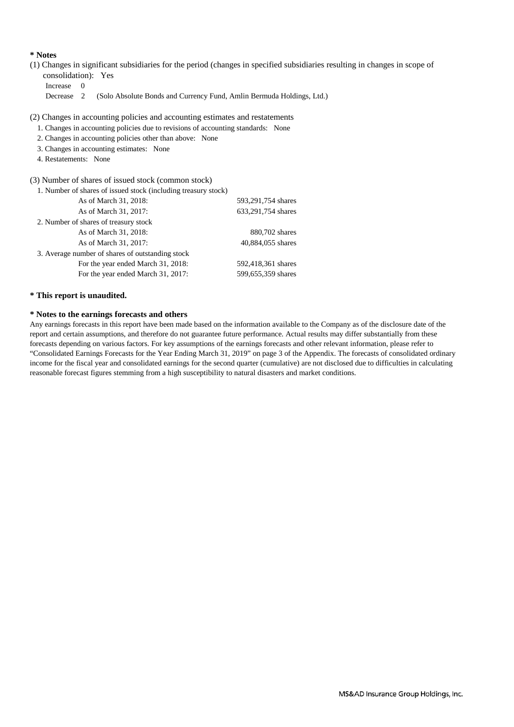#### **\* Notes**

(1) Changes in significant subsidiaries for the period (changes in specified subsidiaries resulting in changes in scope of consolidation): Yes

Increase 0

Decrease 2 (Solo Absolute Bonds and Currency Fund, Amlin Bermuda Holdings, Ltd.)

(2) Changes in accounting policies and accounting estimates and restatements

- 1. Changes in accounting policies due to revisions of accounting standards: None
- 2. Changes in accounting policies other than above: None
- 3. Changes in accounting estimates: None
- 4. Restatements: None

(3) Number of shares of issued stock (common stock)

| 1. Number of shares of issued stock (including treasury stock) |                    |
|----------------------------------------------------------------|--------------------|
| As of March 31, 2018:                                          | 593,291,754 shares |
| As of March 31, 2017:                                          | 633,291,754 shares |
| 2. Number of shares of treasury stock                          |                    |
| As of March 31, 2018:                                          | 880,702 shares     |
| As of March 31, 2017:                                          | 40,884,055 shares  |
| 3. Average number of shares of outstanding stock               |                    |
| For the year ended March 31, 2018:                             | 592,418,361 shares |
| For the year ended March 31, 2017:                             | 599,655,359 shares |

#### **\* This report is unaudited.**

#### **\* Notes to the earnings forecasts and others**

Any earnings forecasts in this report have been made based on the information available to the Company as of the disclosure date of the report and certain assumptions, and therefore do not guarantee future performance. Actual results may differ substantially from these forecasts depending on various factors. For key assumptions of the earnings forecasts and other relevant information, please refer to "Consolidated Earnings Forecasts for the Year Ending March 31, 2019" on page 3 of the Appendix. The forecasts of consolidated ordinary income for the fiscal year and consolidated earnings for the second quarter (cumulative) are not disclosed due to difficulties in calculating reasonable forecast figures stemming from a high susceptibility to natural disasters and market conditions.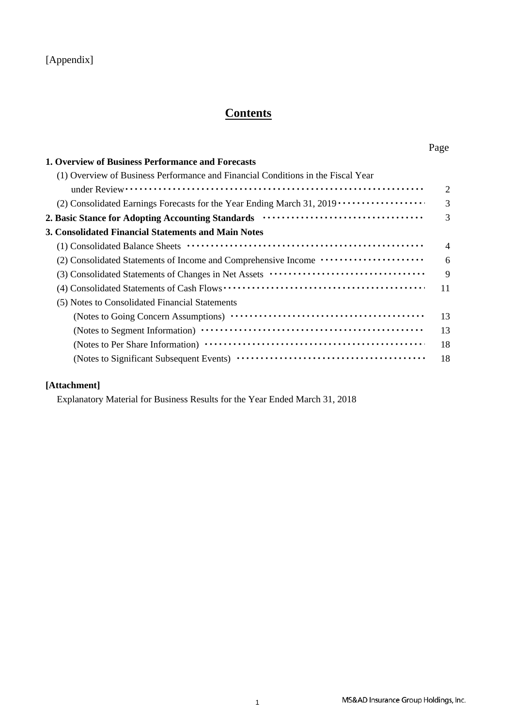## [Appendix]

# **Contents**

| <b>1. Overview of Business Performance and Forecasts</b>                              |                |
|---------------------------------------------------------------------------------------|----------------|
| (1) Overview of Business Performance and Financial Conditions in the Fiscal Year      |                |
|                                                                                       | $\overline{2}$ |
|                                                                                       | $\overline{3}$ |
|                                                                                       | 3              |
| 3. Consolidated Financial Statements and Main Notes                                   |                |
|                                                                                       | $\overline{4}$ |
| (2) Consolidated Statements of Income and Comprehensive Income ······················ | 6              |
|                                                                                       | 9              |
|                                                                                       | 11             |
| (5) Notes to Consolidated Financial Statements                                        |                |
|                                                                                       | 13             |
|                                                                                       | 13             |
|                                                                                       | 18             |
|                                                                                       | 18             |

## **[Attachment]**

Explanatory Material for Business Results for the Year Ended March 31, 2018

Page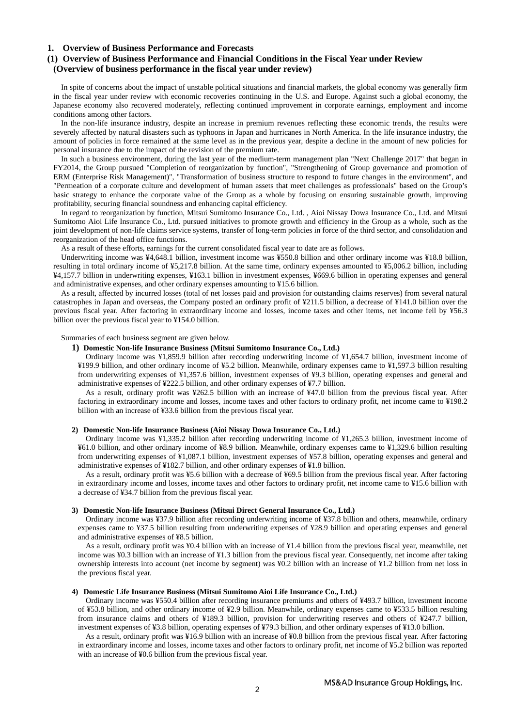#### **1. Overview of Business Performance and Forecasts**

### **(1) Overview of Business Performance and Financial Conditions in the Fiscal Year under Review (Overview of business performance in the fiscal year under review)**

In spite of concerns about the impact of unstable political situations and financial markets, the global economy was generally firm in the fiscal year under review with economic recoveries continuing in the U.S. and Europe. Against such a global economy, the Japanese economy also recovered moderately, reflecting continued improvement in corporate earnings, employment and income conditions among other factors.

In the non-life insurance industry, despite an increase in premium revenues reflecting these economic trends, the results were severely affected by natural disasters such as typhoons in Japan and hurricanes in North America. In the life insurance industry, the amount of policies in force remained at the same level as in the previous year, despite a decline in the amount of new policies for personal insurance due to the impact of the revision of the premium rate.

In such a business environment, during the last year of the medium-term management plan "Next Challenge 2017" that began in FY2014, the Group pursued "Completion of reorganization by function", "Strengthening of Group governance and promotion of ERM (Enterprise Risk Management)", "Transformation of business structure to respond to future changes in the environment", and "Permeation of a corporate culture and development of human assets that meet challenges as professionals" based on the Group's basic strategy to enhance the corporate value of the Group as a whole by focusing on ensuring sustainable growth, improving profitability, securing financial soundness and enhancing capital efficiency.

In regard to reorganization by function, Mitsui Sumitomo Insurance Co., Ltd. , Aioi Nissay Dowa Insurance Co., Ltd. and Mitsui Sumitomo Aioi Life Insurance Co., Ltd. pursued initiatives to promote growth and efficiency in the Group as a whole, such as the joint development of non-life claims service systems, transfer of long-term policies in force of the third sector, and consolidation and reorganization of the head office functions.

As a result of these efforts, earnings for the current consolidated fiscal year to date are as follows.

Underwriting income was ¥4,648.1 billion, investment income was ¥550.8 billion and other ordinary income was ¥18.8 billion, resulting in total ordinary income of ¥5,217.8 billion. At the same time, ordinary expenses amounted to ¥5,006.2 billion, including ¥4,157.7 billion in underwriting expenses, ¥163.1 billion in investment expenses, ¥669.6 billion in operating expenses and general and administrative expenses, and other ordinary expenses amounting to ¥15.6 billion.

As a result, affected by incurred losses (total of net losses paid and provision for outstanding claims reserves) from several natural catastrophes in Japan and overseas, the Company posted an ordinary profit of ¥211.5 billion, a decrease of ¥141.0 billion over the previous fiscal year. After factoring in extraordinary income and losses, income taxes and other items, net income fell by ¥56.3 billion over the previous fiscal year to ¥154.0 billion.

Summaries of each business segment are given below.

#### **1) Domestic Non-life Insurance Business (Mitsui Sumitomo Insurance Co., Ltd.)**

Ordinary income was ¥1,859.9 billion after recording underwriting income of ¥1,654.7 billion, investment income of ¥199.9 billion, and other ordinary income of ¥5.2 billion. Meanwhile, ordinary expenses came to ¥1,597.3 billion resulting from underwriting expenses of ¥1,357.6 billion, investment expenses of ¥9.3 billion, operating expenses and general and administrative expenses of ¥222.5 billion, and other ordinary expenses of ¥7.7 billion.

As a result, ordinary profit was ¥262.5 billion with an increase of ¥47.0 billion from the previous fiscal year. After factoring in extraordinary income and losses, income taxes and other factors to ordinary profit, net income came to ¥198.2 billion with an increase of ¥33.6 billion from the previous fiscal year.

#### **2) Domestic Non-life Insurance Business (Aioi Nissay Dowa Insurance Co., Ltd.)**

Ordinary income was ¥1,335.2 billion after recording underwriting income of ¥1,265.3 billion, investment income of ¥61.0 billion, and other ordinary income of ¥8.9 billion. Meanwhile, ordinary expenses came to ¥1,329.6 billion resulting from underwriting expenses of ¥1,087.1 billion, investment expenses of ¥57.8 billion, operating expenses and general and administrative expenses of ¥182.7 billion, and other ordinary expenses of ¥1.8 billion.

As a result, ordinary profit was ¥5.6 billion with a decrease of ¥69.5 billion from the previous fiscal year. After factoring in extraordinary income and losses, income taxes and other factors to ordinary profit, net income came to ¥15.6 billion with a decrease of ¥34.7 billion from the previous fiscal year.

#### **3) Domestic Non-life Insurance Business (Mitsui Direct General Insurance Co., Ltd.)**

Ordinary income was ¥37.9 billion after recording underwriting income of ¥37.8 billion and others, meanwhile, ordinary expenses came to ¥37.5 billion resulting from underwriting expenses of ¥28.9 billion and operating expenses and general and administrative expenses of ¥8.5 billion.

As a result, ordinary profit was ¥0.4 billion with an increase of ¥1.4 billion from the previous fiscal year, meanwhile, net income was ¥0.3 billion with an increase of ¥1.3 billion from the previous fiscal year. Consequently, net income after taking ownership interests into account (net income by segment) was ¥0.2 billion with an increase of ¥1.2 billion from net loss in the previous fiscal year.

#### **4) Domestic Life Insurance Business (Mitsui Sumitomo Aioi Life Insurance Co., Ltd.)**

Ordinary income was ¥550.4 billion after recording insurance premiums and others of ¥493.7 billion, investment income of ¥53.8 billion, and other ordinary income of ¥2.9 billion. Meanwhile, ordinary expenses came to ¥533.5 billion resulting from insurance claims and others of ¥189.3 billion, provision for underwriting reserves and others of ¥247.7 billion, investment expenses of ¥3.8 billion, operating expenses of ¥79.3 billion, and other ordinary expenses of ¥13.0 billion.

As a result, ordinary profit was ¥16.9 billion with an increase of ¥0.8 billion from the previous fiscal year. After factoring in extraordinary income and losses, income taxes and other factors to ordinary profit, net income of ¥5.2 billion was reported with an increase of ¥0.6 billion from the previous fiscal year.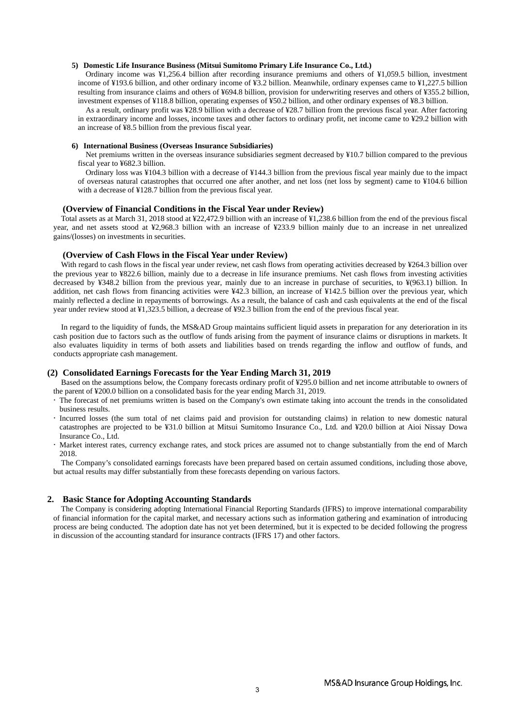#### **5) Domestic Life Insurance Business (Mitsui Sumitomo Primary Life Insurance Co., Ltd.)**

Ordinary income was ¥1,256.4 billion after recording insurance premiums and others of ¥1,059.5 billion, investment income of ¥193.6 billion, and other ordinary income of ¥3.2 billion. Meanwhile, ordinary expenses came to ¥1,227.5 billion resulting from insurance claims and others of ¥694.8 billion, provision for underwriting reserves and others of ¥355.2 billion, investment expenses of ¥118.8 billion, operating expenses of ¥50.2 billion, and other ordinary expenses of ¥8.3 billion.

As a result, ordinary profit was ¥28.9 billion with a decrease of ¥28.7 billion from the previous fiscal year. After factoring in extraordinary income and losses, income taxes and other factors to ordinary profit, net income came to ¥29.2 billion with an increase of ¥8.5 billion from the previous fiscal year.

#### **6) International Business (Overseas Insurance Subsidiaries)**

Net premiums written in the overseas insurance subsidiaries segment decreased by ¥10.7 billion compared to the previous fiscal year to ¥682.3 billion.

Ordinary loss was ¥104.3 billion with a decrease of ¥144.3 billion from the previous fiscal year mainly due to the impact of overseas natural catastrophes that occurred one after another, and net loss (net loss by segment) came to ¥104.6 billion with a decrease of ¥128.7 billion from the previous fiscal year.

#### **(Overview of Financial Conditions in the Fiscal Year under Review)**

Total assets as at March 31, 2018 stood at ¥22,472.9 billion with an increase of ¥1,238.6 billion from the end of the previous fiscal year, and net assets stood at ¥2,968.3 billion with an increase of ¥233.9 billion mainly due to an increase in net unrealized gains/(losses) on investments in securities.

#### **(Overview of Cash Flows in the Fiscal Year under Review)**

With regard to cash flows in the fiscal year under review, net cash flows from operating activities decreased by ¥264.3 billion over the previous year to ¥822.6 billion, mainly due to a decrease in life insurance premiums. Net cash flows from investing activities decreased by ¥348.2 billion from the previous year, mainly due to an increase in purchase of securities, to ¥(963.1) billion. In addition, net cash flows from financing activities were ¥42.3 billion, an increase of ¥142.5 billion over the previous year, which mainly reflected a decline in repayments of borrowings. As a result, the balance of cash and cash equivalents at the end of the fiscal year under review stood at ¥1,323.5 billion, a decrease of ¥92.3 billion from the end of the previous fiscal year.

In regard to the liquidity of funds, the MS&AD Group maintains sufficient liquid assets in preparation for any deterioration in its cash position due to factors such as the outflow of funds arising from the payment of insurance claims or disruptions in markets. It also evaluates liquidity in terms of both assets and liabilities based on trends regarding the inflow and outflow of funds, and conducts appropriate cash management.

#### **(2) Consolidated Earnings Forecasts for the Year Ending March 31, 2019**

Based on the assumptions below, the Company forecasts ordinary profit of ¥295.0 billion and net income attributable to owners of the parent of ¥200.0 billion on a consolidated basis for the year ending March 31, 2019.

- The forecast of net premiums written is based on the Company's own estimate taking into account the trends in the consolidated business results.
- Incurred losses (the sum total of net claims paid and provision for outstanding claims) in relation to new domestic natural catastrophes are projected to be ¥31.0 billion at Mitsui Sumitomo Insurance Co., Ltd. and ¥20.0 billion at Aioi Nissay Dowa Insurance Co., Ltd.
- Market interest rates, currency exchange rates, and stock prices are assumed not to change substantially from the end of March 2018.

The Company's consolidated earnings forecasts have been prepared based on certain assumed conditions, including those above, but actual results may differ substantially from these forecasts depending on various factors.

#### **2. Basic Stance for Adopting Accounting Standards**

The Company is considering adopting International Financial Reporting Standards (IFRS) to improve international comparability of financial information for the capital market, and necessary actions such as information gathering and examination of introducing process are being conducted. The adoption date has not yet been determined, but it is expected to be decided following the progress in discussion of the accounting standard for insurance contracts (IFRS 17) and other factors.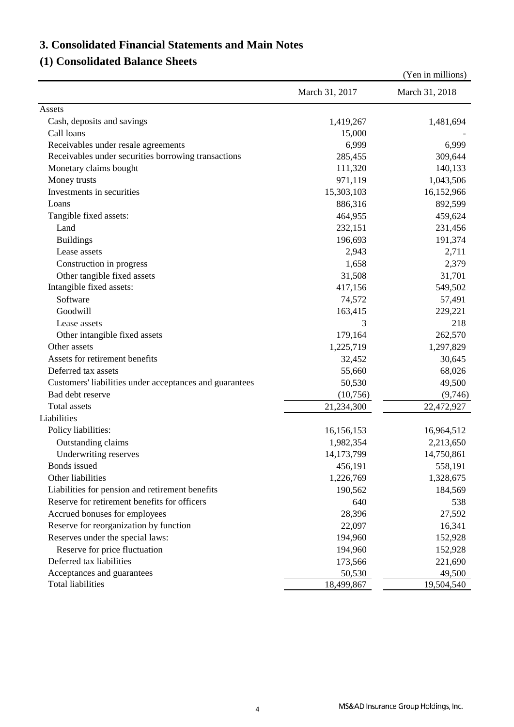# **3. Consolidated Financial Statements and Main Notes**

# **(1) Consolidated Balance Sheets**

|                                                         |                | (Yen in millions) |
|---------------------------------------------------------|----------------|-------------------|
|                                                         | March 31, 2017 | March 31, 2018    |
| Assets                                                  |                |                   |
| Cash, deposits and savings                              | 1,419,267      | 1,481,694         |
| Call loans                                              | 15,000         |                   |
| Receivables under resale agreements                     | 6,999          | 6,999             |
| Receivables under securities borrowing transactions     | 285,455        | 309,644           |
| Monetary claims bought                                  | 111,320        | 140,133           |
| Money trusts                                            | 971,119        | 1,043,506         |
| Investments in securities                               | 15,303,103     | 16,152,966        |
| Loans                                                   | 886,316        | 892,599           |
| Tangible fixed assets:                                  | 464,955        | 459,624           |
| Land                                                    | 232,151        | 231,456           |
| <b>Buildings</b>                                        | 196,693        | 191,374           |
| Lease assets                                            | 2,943          | 2,711             |
| Construction in progress                                | 1,658          | 2,379             |
| Other tangible fixed assets                             | 31,508         | 31,701            |
| Intangible fixed assets:                                | 417,156        | 549,502           |
| Software                                                | 74,572         | 57,491            |
| Goodwill                                                | 163,415        | 229,221           |
| Lease assets                                            | 3              | 218               |
| Other intangible fixed assets                           | 179,164        | 262,570           |
| Other assets                                            | 1,225,719      | 1,297,829         |
| Assets for retirement benefits                          | 32,452         | 30,645            |
| Deferred tax assets                                     | 55,660         | 68,026            |
| Customers' liabilities under acceptances and guarantees | 50,530         | 49,500            |
| Bad debt reserve                                        | (10,756)       | (9,746)           |
| <b>Total</b> assets                                     | 21,234,300     | 22,472,927        |
| Liabilities                                             |                |                   |
| Policy liabilities:                                     | 16,156,153     | 16,964,512        |
| Outstanding claims                                      | 1,982,354      | 2,213,650         |
| Underwriting reserves                                   | 14,173,799     | 14,750,861        |
| Bonds issued                                            | 456,191        | 558,191           |
| Other liabilities                                       | 1,226,769      | 1,328,675         |
| Liabilities for pension and retirement benefits         | 190,562        | 184,569           |
| Reserve for retirement benefits for officers            | 640            | 538               |
| Accrued bonuses for employees                           | 28,396         | 27,592            |
| Reserve for reorganization by function                  | 22,097         | 16,341            |
| Reserves under the special laws:                        | 194,960        | 152,928           |
| Reserve for price fluctuation                           | 194,960        | 152,928           |
| Deferred tax liabilities                                | 173,566        | 221,690           |
| Acceptances and guarantees                              | 50,530         | 49,500            |
| <b>Total liabilities</b>                                | 18,499,867     | 19,504,540        |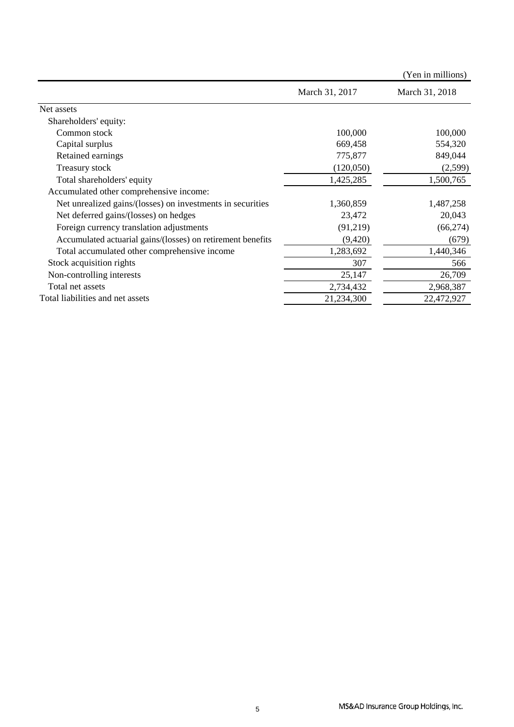|                                                             |                | (Yen in millions) |
|-------------------------------------------------------------|----------------|-------------------|
|                                                             | March 31, 2017 | March 31, 2018    |
| Net assets                                                  |                |                   |
| Shareholders' equity:                                       |                |                   |
| Common stock                                                | 100,000        | 100,000           |
| Capital surplus                                             | 669,458        | 554,320           |
| Retained earnings                                           | 775,877        | 849,044           |
| Treasury stock                                              | (120,050)      | (2,599)           |
| Total shareholders' equity                                  | 1,425,285      | 1,500,765         |
| Accumulated other comprehensive income:                     |                |                   |
| Net unrealized gains/(losses) on investments in securities  | 1,360,859      | 1,487,258         |
| Net deferred gains/(losses) on hedges                       | 23,472         | 20,043            |
| Foreign currency translation adjustments                    | (91,219)       | (66, 274)         |
| Accumulated actuarial gains/(losses) on retirement benefits | (9,420)        | (679)             |
| Total accumulated other comprehensive income                | 1,283,692      | 1,440,346         |
| Stock acquisition rights                                    | 307            | 566               |
| Non-controlling interests                                   | 25,147         | 26,709            |
| Total net assets                                            | 2,734,432      | 2,968,387         |
| Total liabilities and net assets                            | 21,234,300     | 22,472,927        |
|                                                             |                |                   |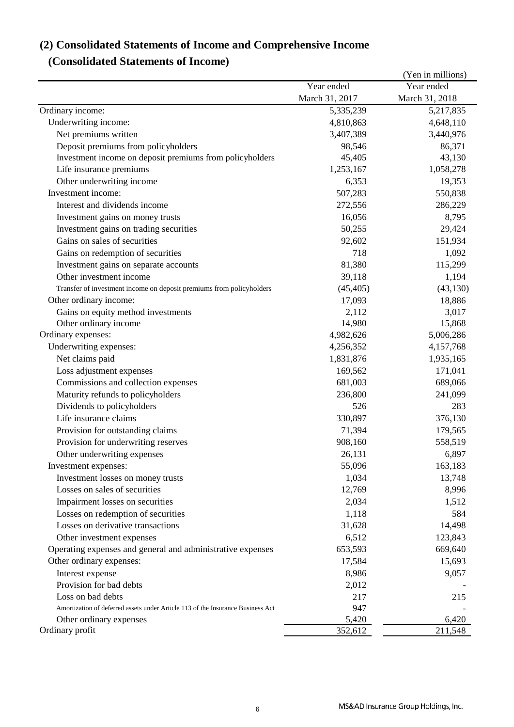# **(2) Consolidated Statements of Income and Comprehensive Income**

# **(Consolidated Statements of Income)**

|                                                                                 |                | (Yen in millions) |
|---------------------------------------------------------------------------------|----------------|-------------------|
|                                                                                 | Year ended     | Year ended        |
|                                                                                 | March 31, 2017 | March 31, 2018    |
| Ordinary income:                                                                | 5,335,239      | 5,217,835         |
| Underwriting income:                                                            | 4,810,863      | 4,648,110         |
| Net premiums written                                                            | 3,407,389      | 3,440,976         |
| Deposit premiums from policyholders                                             | 98,546         | 86,371            |
| Investment income on deposit premiums from policyholders                        | 45,405         | 43,130            |
| Life insurance premiums                                                         | 1,253,167      | 1,058,278         |
| Other underwriting income                                                       | 6,353          | 19,353            |
| Investment income:                                                              | 507,283        | 550,838           |
| Interest and dividends income                                                   | 272,556        | 286,229           |
| Investment gains on money trusts                                                | 16,056         | 8,795             |
| Investment gains on trading securities                                          | 50,255         | 29,424            |
| Gains on sales of securities                                                    | 92,602         | 151,934           |
| Gains on redemption of securities                                               | 718            | 1,092             |
| Investment gains on separate accounts                                           | 81,380         | 115,299           |
| Other investment income                                                         | 39,118         | 1,194             |
| Transfer of investment income on deposit premiums from policyholders            | (45, 405)      | (43, 130)         |
| Other ordinary income:                                                          | 17,093         | 18,886            |
| Gains on equity method investments                                              | 2,112          | 3,017             |
| Other ordinary income                                                           | 14,980         | 15,868            |
| Ordinary expenses:                                                              | 4,982,626      | 5,006,286         |
| Underwriting expenses:                                                          | 4,256,352      | 4,157,768         |
| Net claims paid                                                                 | 1,831,876      | 1,935,165         |
| Loss adjustment expenses                                                        | 169,562        | 171,041           |
| Commissions and collection expenses                                             | 681,003        | 689,066           |
| Maturity refunds to policyholders                                               | 236,800        | 241,099           |
| Dividends to policyholders                                                      | 526            | 283               |
| Life insurance claims                                                           | 330,897        | 376,130           |
| Provision for outstanding claims                                                | 71,394         | 179,565           |
| Provision for underwriting reserves                                             | 908,160        | 558,519           |
| Other underwriting expenses                                                     | 26,131         | 6,897             |
| Investment expenses:                                                            | 55,096         | 163,183           |
| Investment losses on money trusts                                               | 1,034          | 13,748            |
| Losses on sales of securities                                                   | 12,769         | 8,996             |
|                                                                                 | 2,034          |                   |
| Impairment losses on securities                                                 |                | 1,512<br>584      |
| Losses on redemption of securities<br>Losses on derivative transactions         | 1,118          |                   |
|                                                                                 | 31,628         | 14,498            |
| Other investment expenses                                                       | 6,512          | 123,843           |
| Operating expenses and general and administrative expenses                      | 653,593        | 669,640           |
| Other ordinary expenses:                                                        | 17,584         | 15,693            |
| Interest expense                                                                | 8,986          | 9,057             |
| Provision for bad debts                                                         | 2,012          |                   |
| Loss on bad debts                                                               | 217            | 215               |
| Amortization of deferred assets under Article 113 of the Insurance Business Act | 947            |                   |
| Other ordinary expenses                                                         | 5,420          | 6,420             |
| Ordinary profit                                                                 | 352,612        | 211,548           |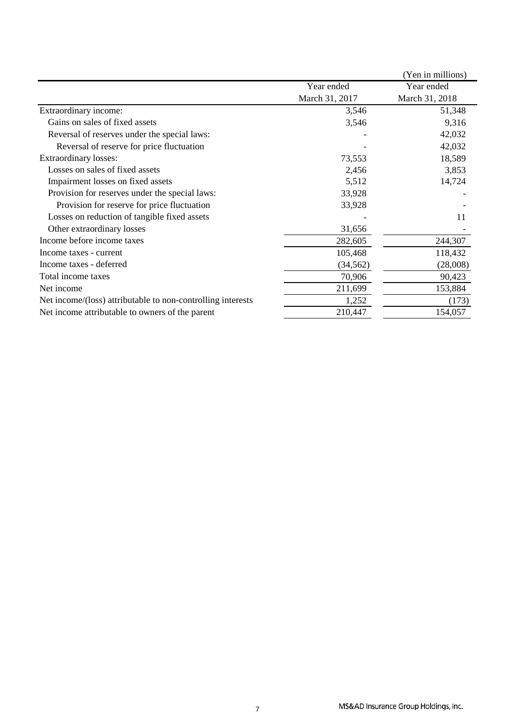|                                                             |                | (Yen in millions) |
|-------------------------------------------------------------|----------------|-------------------|
|                                                             | Year ended     | Year ended        |
|                                                             | March 31, 2017 | March 31, 2018    |
| Extraordinary income:                                       | 3,546          | 51,348            |
| Gains on sales of fixed assets                              | 3,546          | 9,316             |
| Reversal of reserves under the special laws:                |                | 42,032            |
| Reversal of reserve for price fluctuation                   |                | 42,032            |
| Extraordinary losses:                                       | 73,553         | 18,589            |
| Losses on sales of fixed assets                             | 2,456          | 3,853             |
| Impairment losses on fixed assets                           | 5,512          | 14,724            |
| Provision for reserves under the special laws:              | 33,928         |                   |
| Provision for reserve for price fluctuation                 | 33,928         |                   |
| Losses on reduction of tangible fixed assets                |                | 11                |
| Other extraordinary losses                                  | 31,656         |                   |
| Income before income taxes                                  | 282,605        | 244,307           |
| Income taxes - current                                      | 105,468        | 118,432           |
| Income taxes - deferred                                     | (34, 562)      | (28,008)          |
| Total income taxes                                          | 70,906         | 90,423            |
| Net income                                                  | 211,699        | 153,884           |
| Net income/(loss) attributable to non-controlling interests | 1,252          | (173)             |
| Net income attributable to owners of the parent             | 210,447        | 154,057           |
|                                                             |                |                   |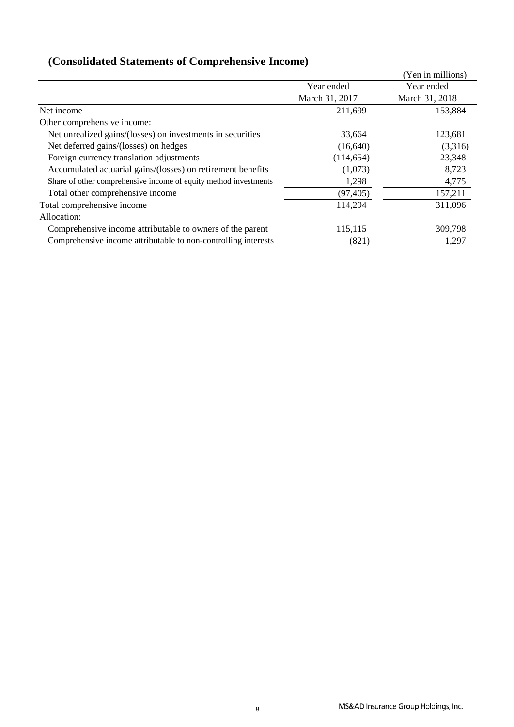|                                                                  |                | (Yen in millions) |
|------------------------------------------------------------------|----------------|-------------------|
|                                                                  | Year ended     | Year ended        |
|                                                                  | March 31, 2017 | March 31, 2018    |
| Net income                                                       | 211,699        | 153,884           |
| Other comprehensive income:                                      |                |                   |
| Net unrealized gains/(losses) on investments in securities       | 33,664         | 123,681           |
| Net deferred gains/(losses) on hedges                            | (16,640)       | (3,316)           |
| Foreign currency translation adjustments                         | (114, 654)     | 23,348            |
| Accumulated actuarial gains/(losses) on retirement benefits      | (1,073)        | 8,723             |
| Share of other comprehensive income of equity method investments | 1,298          | 4,775             |
| Total other comprehensive income                                 | (97, 405)      | 157,211           |
| Total comprehensive income                                       | 114,294        | 311,096           |
| Allocation:                                                      |                |                   |
| Comprehensive income attributable to owners of the parent        | 115,115        | 309,798           |
| Comprehensive income attributable to non-controlling interests   | (821)          | 1,297             |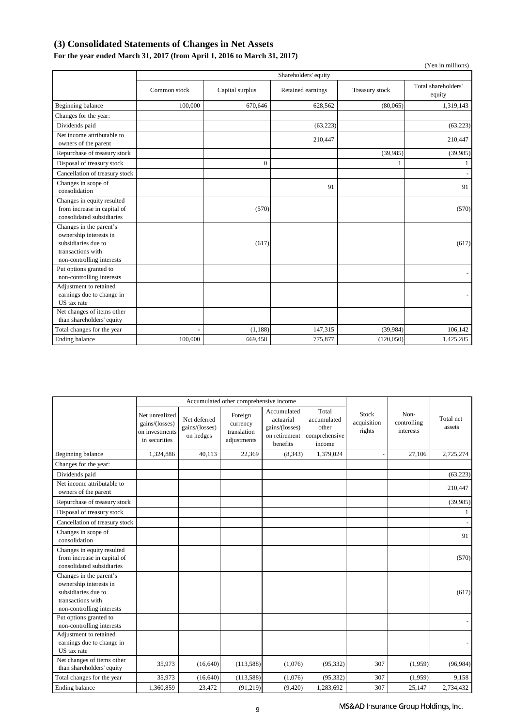## **(3) Consolidated Statements of Changes in Net Assets**

## **For the year ended March 31, 2017 (from April 1, 2016 to March 31, 2017)**

|                                                                                                                            |              |                 |                      |                | (Yen in millions)             |
|----------------------------------------------------------------------------------------------------------------------------|--------------|-----------------|----------------------|----------------|-------------------------------|
|                                                                                                                            |              |                 | Shareholders' equity |                |                               |
|                                                                                                                            | Common stock | Capital surplus | Retained earnings    | Treasury stock | Total shareholders'<br>equity |
| Beginning balance                                                                                                          | 100,000      | 670,646         | 628,562              | (80,065)       | 1,319,143                     |
| Changes for the year:                                                                                                      |              |                 |                      |                |                               |
| Dividends paid                                                                                                             |              |                 | (63, 223)            |                | (63, 223)                     |
| Net income attributable to<br>owners of the parent                                                                         |              |                 | 210,447              |                | 210,447                       |
| Repurchase of treasury stock                                                                                               |              |                 |                      | (39, 985)      | (39,985)                      |
| Disposal of treasury stock                                                                                                 |              | $\Omega$        |                      |                | 1                             |
| Cancellation of treasury stock                                                                                             |              |                 |                      |                |                               |
| Changes in scope of<br>consolidation                                                                                       |              |                 | 91                   |                | 91                            |
| Changes in equity resulted<br>from increase in capital of<br>consolidated subsidiaries                                     |              | (570)           |                      |                | (570)                         |
| Changes in the parent's<br>ownership interests in<br>subsidiaries due to<br>transactions with<br>non-controlling interests |              | (617)           |                      |                | (617)                         |
| Put options granted to<br>non-controlling interests                                                                        |              |                 |                      |                |                               |
| Adjustment to retained<br>earnings due to change in<br>US tax rate                                                         |              |                 |                      |                |                               |
| Net changes of items other<br>than shareholders' equity                                                                    |              |                 |                      |                |                               |
| Total changes for the year                                                                                                 |              | (1, 188)        | 147,315              | (39, 984)      | 106,142                       |
| Ending balance                                                                                                             | 100,000      | 669,458         | 775,877              | (120,050)      | 1,425,285                     |

|                                                                                                                            |                                                                     | Accumulated other comprehensive income      |                                                   |                                                                         |                                                          |                                       |                                  |                     |
|----------------------------------------------------------------------------------------------------------------------------|---------------------------------------------------------------------|---------------------------------------------|---------------------------------------------------|-------------------------------------------------------------------------|----------------------------------------------------------|---------------------------------------|----------------------------------|---------------------|
|                                                                                                                            | Net unrealized<br>gains/(losses)<br>on investments<br>in securities | Net deferred<br>gains/(losses)<br>on hedges | Foreign<br>currency<br>translation<br>adjustments | Accumulated<br>actuarial<br>gains/(losses)<br>on retirement<br>benefits | Total<br>accumulated<br>other<br>comprehensive<br>income | <b>Stock</b><br>acquisition<br>rights | Non-<br>controlling<br>interests | Total net<br>assets |
| Beginning balance                                                                                                          | 1,324,886                                                           | 40,113                                      | 22,369                                            | (8, 343)                                                                | 1,379,024                                                |                                       | 27,106                           | 2,725,274           |
| Changes for the year:                                                                                                      |                                                                     |                                             |                                                   |                                                                         |                                                          |                                       |                                  |                     |
| Dividends paid                                                                                                             |                                                                     |                                             |                                                   |                                                                         |                                                          |                                       |                                  | (63, 223)           |
| Net income attributable to<br>owners of the parent                                                                         |                                                                     |                                             |                                                   |                                                                         |                                                          |                                       |                                  | 210,447             |
| Repurchase of treasury stock                                                                                               |                                                                     |                                             |                                                   |                                                                         |                                                          |                                       |                                  | (39,985)            |
| Disposal of treasury stock                                                                                                 |                                                                     |                                             |                                                   |                                                                         |                                                          |                                       |                                  | 1                   |
| Cancellation of treasury stock                                                                                             |                                                                     |                                             |                                                   |                                                                         |                                                          |                                       |                                  |                     |
| Changes in scope of<br>consolidation                                                                                       |                                                                     |                                             |                                                   |                                                                         |                                                          |                                       |                                  | 91                  |
| Changes in equity resulted<br>from increase in capital of<br>consolidated subsidiaries                                     |                                                                     |                                             |                                                   |                                                                         |                                                          |                                       |                                  | (570)               |
| Changes in the parent's<br>ownership interests in<br>subsidiaries due to<br>transactions with<br>non-controlling interests |                                                                     |                                             |                                                   |                                                                         |                                                          |                                       |                                  | (617)               |
| Put options granted to<br>non-controlling interests                                                                        |                                                                     |                                             |                                                   |                                                                         |                                                          |                                       |                                  |                     |
| Adjustment to retained<br>earnings due to change in<br>US tax rate                                                         |                                                                     |                                             |                                                   |                                                                         |                                                          |                                       |                                  |                     |
| Net changes of items other<br>than shareholders' equity                                                                    | 35,973                                                              | (16, 640)                                   | (113,588)                                         | (1,076)                                                                 | (95, 332)                                                | 307                                   | (1,959)                          | (96, 984)           |
| Total changes for the year                                                                                                 | 35,973                                                              | (16, 640)                                   | (113, 588)                                        | (1,076)                                                                 | (95, 332)                                                | 307                                   | (1,959)                          | 9,158               |
| Ending balance                                                                                                             | 1,360,859                                                           | 23,472                                      | (91,219)                                          | (9,420)                                                                 | 1,283,692                                                | 307                                   | 25,147                           | 2,734,432           |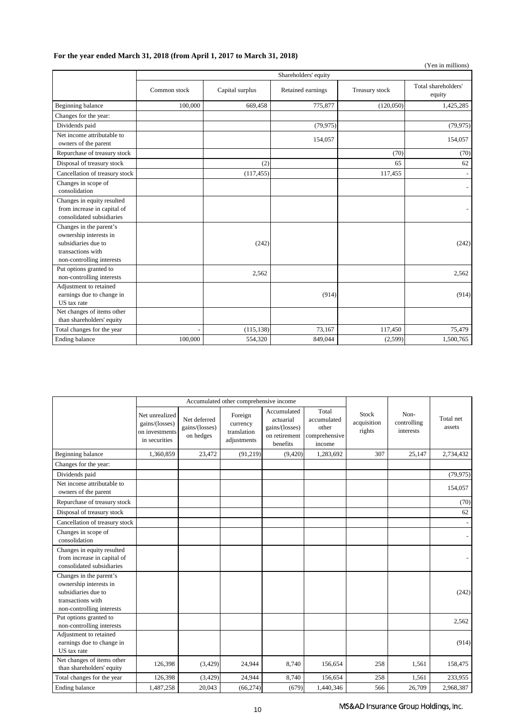## **For the year ended March 31, 2018 (from April 1, 2017 to March 31, 2018)**

|                                                                                                                            |              |                 |                      |                | (Yen in millions)             |
|----------------------------------------------------------------------------------------------------------------------------|--------------|-----------------|----------------------|----------------|-------------------------------|
|                                                                                                                            |              |                 | Shareholders' equity |                |                               |
|                                                                                                                            | Common stock | Capital surplus | Retained earnings    | Treasury stock | Total shareholders'<br>equity |
| Beginning balance                                                                                                          | 100,000      | 669,458         | 775,877              | (120,050)      | 1,425,285                     |
| Changes for the year:                                                                                                      |              |                 |                      |                |                               |
| Dividends paid                                                                                                             |              |                 | (79, 975)            |                | (79, 975)                     |
| Net income attributable to<br>owners of the parent                                                                         |              |                 | 154,057              |                | 154,057                       |
| Repurchase of treasury stock                                                                                               |              |                 |                      | (70)           | (70)                          |
| Disposal of treasury stock                                                                                                 |              | (2)             |                      | 65             | 62                            |
| Cancellation of treasury stock                                                                                             |              | (117, 455)      |                      | 117,455        |                               |
| Changes in scope of<br>consolidation                                                                                       |              |                 |                      |                |                               |
| Changes in equity resulted<br>from increase in capital of<br>consolidated subsidiaries                                     |              |                 |                      |                |                               |
| Changes in the parent's<br>ownership interests in<br>subsidiaries due to<br>transactions with<br>non-controlling interests |              | (242)           |                      |                | (242)                         |
| Put options granted to<br>non-controlling interests                                                                        |              | 2.562           |                      |                | 2.562                         |
| Adjustment to retained<br>earnings due to change in<br>US tax rate                                                         |              |                 | (914)                |                | (914)                         |
| Net changes of items other<br>than shareholders' equity                                                                    |              |                 |                      |                |                               |
| Total changes for the year                                                                                                 |              | (115, 138)      | 73,167               | 117,450        | 75,479                        |
| Ending balance                                                                                                             | 100,000      | 554,320         | 849,044              | (2,599)        | 1,500,765                     |

|                                                                                                                            |                                                                     | Accumulated other comprehensive income      |                                                   |                                                                         |                                                          |                                       |                                  |                     |
|----------------------------------------------------------------------------------------------------------------------------|---------------------------------------------------------------------|---------------------------------------------|---------------------------------------------------|-------------------------------------------------------------------------|----------------------------------------------------------|---------------------------------------|----------------------------------|---------------------|
|                                                                                                                            | Net unrealized<br>gains/(losses)<br>on investments<br>in securities | Net deferred<br>gains/(losses)<br>on hedges | Foreign<br>currency<br>translation<br>adjustments | Accumulated<br>actuarial<br>gains/(losses)<br>on retirement<br>benefits | Total<br>accumulated<br>other<br>comprehensive<br>income | <b>Stock</b><br>acquisition<br>rights | Non-<br>controlling<br>interests | Total net<br>assets |
| Beginning balance                                                                                                          | 1,360,859                                                           | 23,472                                      | (91, 219)                                         | (9, 420)                                                                | 1,283,692                                                | 307                                   | 25,147                           | 2,734,432           |
| Changes for the year:                                                                                                      |                                                                     |                                             |                                                   |                                                                         |                                                          |                                       |                                  |                     |
| Dividends paid                                                                                                             |                                                                     |                                             |                                                   |                                                                         |                                                          |                                       |                                  | (79, 975)           |
| Net income attributable to<br>owners of the parent                                                                         |                                                                     |                                             |                                                   |                                                                         |                                                          |                                       |                                  | 154,057             |
| Repurchase of treasury stock                                                                                               |                                                                     |                                             |                                                   |                                                                         |                                                          |                                       |                                  | (70)                |
| Disposal of treasury stock                                                                                                 |                                                                     |                                             |                                                   |                                                                         |                                                          |                                       |                                  | 62                  |
| Cancellation of treasury stock                                                                                             |                                                                     |                                             |                                                   |                                                                         |                                                          |                                       |                                  |                     |
| Changes in scope of<br>consolidation                                                                                       |                                                                     |                                             |                                                   |                                                                         |                                                          |                                       |                                  |                     |
| Changes in equity resulted<br>from increase in capital of<br>consolidated subsidiaries                                     |                                                                     |                                             |                                                   |                                                                         |                                                          |                                       |                                  |                     |
| Changes in the parent's<br>ownership interests in<br>subsidiaries due to<br>transactions with<br>non-controlling interests |                                                                     |                                             |                                                   |                                                                         |                                                          |                                       |                                  | (242)               |
| Put options granted to<br>non-controlling interests                                                                        |                                                                     |                                             |                                                   |                                                                         |                                                          |                                       |                                  | 2,562               |
| Adjustment to retained<br>earnings due to change in<br>US tax rate                                                         |                                                                     |                                             |                                                   |                                                                         |                                                          |                                       |                                  | (914)               |
| Net changes of items other<br>than shareholders' equity                                                                    | 126,398                                                             | (3,429)                                     | 24,944                                            | 8,740                                                                   | 156,654                                                  | 258                                   | 1,561                            | 158,475             |
| Total changes for the year                                                                                                 | 126,398                                                             | (3, 429)                                    | 24,944                                            | 8,740                                                                   | 156,654                                                  | 258                                   | 1,561                            | 233,955             |
| Ending balance                                                                                                             | 1,487,258                                                           | 20,043                                      | (66, 274)                                         | (679)                                                                   | 1,440,346                                                | 566                                   | 26,709                           | 2,968,387           |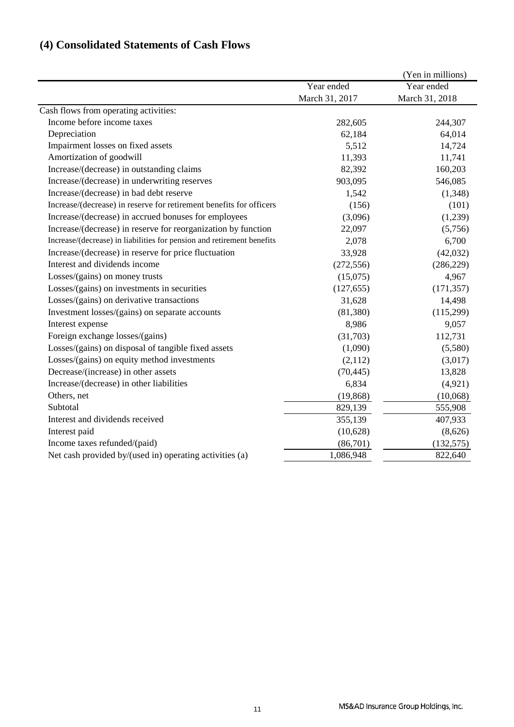# **(4) Consolidated Statements of Cash Flows**

| Cash flows from operating activities:<br>Income before income taxes    | Year ended<br>March 31, 2017<br>282,605<br>62,184<br>5,512 | Year ended<br>March 31, 2018<br>244,307<br>64,014 |
|------------------------------------------------------------------------|------------------------------------------------------------|---------------------------------------------------|
|                                                                        |                                                            |                                                   |
|                                                                        |                                                            |                                                   |
|                                                                        |                                                            |                                                   |
|                                                                        |                                                            |                                                   |
| Depreciation                                                           |                                                            |                                                   |
| Impairment losses on fixed assets                                      |                                                            | 14,724                                            |
| Amortization of goodwill                                               | 11,393                                                     | 11,741                                            |
| Increase/(decrease) in outstanding claims                              | 82,392                                                     | 160,203                                           |
| Increase/(decrease) in underwriting reserves                           | 903,095                                                    | 546,085                                           |
| Increase/(decrease) in bad debt reserve                                | 1,542                                                      | (1,348)                                           |
| Increase/(decrease) in reserve for retirement benefits for officers    | (156)                                                      | (101)                                             |
| Increase/(decrease) in accrued bonuses for employees                   | (3,096)                                                    | (1,239)                                           |
| Increase/(decrease) in reserve for reorganization by function          | 22,097                                                     | (5,756)                                           |
| Increase/(decrease) in liabilities for pension and retirement benefits | 2,078                                                      | 6,700                                             |
| Increase/(decrease) in reserve for price fluctuation                   | 33,928                                                     | (42,032)                                          |
| Interest and dividends income                                          | (272, 556)                                                 | (286, 229)                                        |
| Losses/(gains) on money trusts                                         | (15,075)                                                   | 4,967                                             |
| Losses/(gains) on investments in securities                            | (127, 655)                                                 | (171, 357)                                        |
| Losses/(gains) on derivative transactions                              | 31,628                                                     | 14,498                                            |
| Investment losses/(gains) on separate accounts                         | (81, 380)                                                  | (115,299)                                         |
| Interest expense                                                       | 8,986                                                      | 9,057                                             |
| Foreign exchange losses/(gains)                                        | (31,703)                                                   | 112,731                                           |
| Losses/(gains) on disposal of tangible fixed assets                    | (1,090)                                                    | (5,580)                                           |
| Losses/(gains) on equity method investments                            | (2,112)                                                    | (3,017)                                           |
| Decrease/(increase) in other assets                                    | (70, 445)                                                  | 13,828                                            |
| Increase/(decrease) in other liabilities                               | 6,834                                                      | (4,921)                                           |
| Others, net                                                            | (19, 868)                                                  | (10,068)                                          |
| Subtotal                                                               | 829,139                                                    | 555,908                                           |
| Interest and dividends received                                        | 355,139                                                    | 407,933                                           |
| Interest paid                                                          | (10,628)                                                   | (8,626)                                           |
| Income taxes refunded/(paid)                                           | (86,701)                                                   | (132, 575)                                        |
| Net cash provided by/(used in) operating activities (a)                | 1,086,948                                                  | 822,640                                           |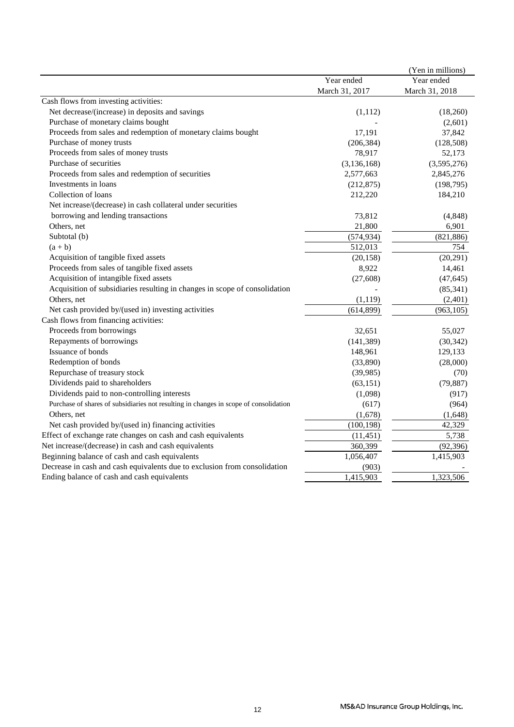|                                                                                       |                | (Yen in millions) |
|---------------------------------------------------------------------------------------|----------------|-------------------|
|                                                                                       | Year ended     | Year ended        |
|                                                                                       | March 31, 2017 | March 31, 2018    |
| Cash flows from investing activities:                                                 |                |                   |
| Net decrease/(increase) in deposits and savings                                       | (1, 112)       | (18,260)          |
| Purchase of monetary claims bought                                                    |                | (2,601)           |
| Proceeds from sales and redemption of monetary claims bought                          | 17,191         | 37,842            |
| Purchase of money trusts                                                              | (206, 384)     | (128, 508)        |
| Proceeds from sales of money trusts                                                   | 78,917         | 52,173            |
| Purchase of securities                                                                | (3, 136, 168)  | (3,595,276)       |
| Proceeds from sales and redemption of securities                                      | 2,577,663      | 2,845,276         |
| Investments in loans                                                                  | (212, 875)     | (198, 795)        |
| Collection of loans                                                                   | 212,220        | 184,210           |
| Net increase/(decrease) in cash collateral under securities                           |                |                   |
| borrowing and lending transactions                                                    | 73,812         | (4, 848)          |
| Others, net                                                                           | 21,800         | 6,901             |
| Subtotal (b)                                                                          | (574, 934)     | (821, 886)        |
| $(a + b)$                                                                             | 512,013        | 754               |
| Acquisition of tangible fixed assets                                                  | (20, 158)      | (20, 291)         |
| Proceeds from sales of tangible fixed assets                                          | 8,922          | 14,461            |
| Acquisition of intangible fixed assets                                                | (27, 608)      | (47, 645)         |
| Acquisition of subsidiaries resulting in changes in scope of consolidation            |                | (85, 341)         |
| Others, net                                                                           | (1, 119)       | (2,401)           |
| Net cash provided by/(used in) investing activities                                   | (614, 899)     | (963, 105)        |
| Cash flows from financing activities:                                                 |                |                   |
| Proceeds from borrowings                                                              | 32,651         | 55,027            |
| Repayments of borrowings                                                              | (141, 389)     | (30, 342)         |
| Issuance of bonds                                                                     | 148,961        | 129,133           |
| Redemption of bonds                                                                   | (33,890)       | (28,000)          |
| Repurchase of treasury stock                                                          | (39, 985)      | (70)              |
| Dividends paid to shareholders                                                        | (63, 151)      | (79, 887)         |
| Dividends paid to non-controlling interests                                           | (1,098)        | (917)             |
| Purchase of shares of subsidiaries not resulting in changes in scope of consolidation | (617)          | (964)             |
| Others, net                                                                           | (1,678)        | (1,648)           |
| Net cash provided by/(used in) financing activities                                   | (100, 198)     | 42,329            |
| Effect of exchange rate changes on cash and cash equivalents                          | (11, 451)      | 5,738             |
| Net increase/(decrease) in cash and cash equivalents                                  | 360,399        | (92, 396)         |
| Beginning balance of cash and cash equivalents                                        | 1,056,407      | 1,415,903         |
| Decrease in cash and cash equivalents due to exclusion from consolidation             | (903)          |                   |
| Ending balance of cash and cash equivalents                                           | 1,415,903      | 1,323,506         |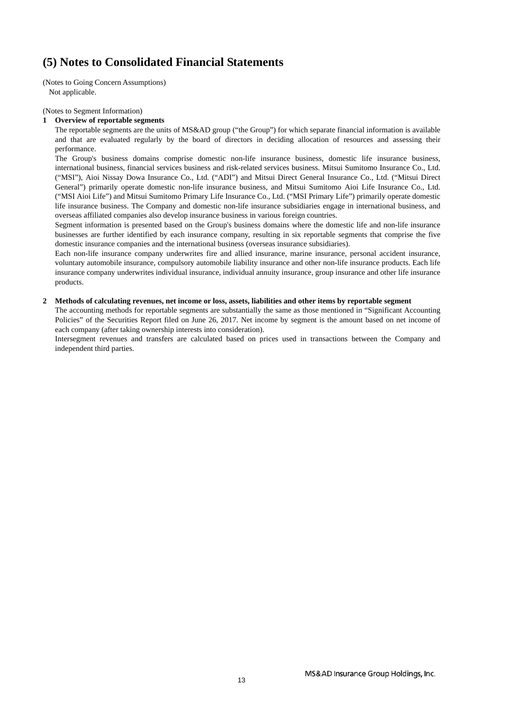# **(5) Notes to Consolidated Financial Statements**

(Notes to Going Concern Assumptions) Not applicable.

(Notes to Segment Information)

#### **1 Overview of reportable segments**

The reportable segments are the units of MS&AD group ("the Group") for which separate financial information is available and that are evaluated regularly by the board of directors in deciding allocation of resources and assessing their performance.

The Group's business domains comprise domestic non-life insurance business, domestic life insurance business, international business, financial services business and risk-related services business. Mitsui Sumitomo Insurance Co., Ltd. ("MSI"), Aioi Nissay Dowa Insurance Co., Ltd. ("ADI") and Mitsui Direct General Insurance Co., Ltd. ("Mitsui Direct General") primarily operate domestic non-life insurance business, and Mitsui Sumitomo Aioi Life Insurance Co., Ltd. ("MSI Aioi Life") and Mitsui Sumitomo Primary Life Insurance Co., Ltd. ("MSI Primary Life") primarily operate domestic life insurance business. The Company and domestic non-life insurance subsidiaries engage in international business, and overseas affiliated companies also develop insurance business in various foreign countries.

Segment information is presented based on the Group's business domains where the domestic life and non-life insurance businesses are further identified by each insurance company, resulting in six reportable segments that comprise the five domestic insurance companies and the international business (overseas insurance subsidiaries).

Each non-life insurance company underwrites fire and allied insurance, marine insurance, personal accident insurance, voluntary automobile insurance, compulsory automobile liability insurance and other non-life insurance products. Each life insurance company underwrites individual insurance, individual annuity insurance, group insurance and other life insurance products.

#### **2 Methods of calculating revenues, net income or loss, assets, liabilities and other items by reportable segment**

The accounting methods for reportable segments are substantially the same as those mentioned in "Significant Accounting Policies" of the Securities Report filed on June 26, 2017. Net income by segment is the amount based on net income of each company (after taking ownership interests into consideration).

Intersegment revenues and transfers are calculated based on prices used in transactions between the Company and independent third parties.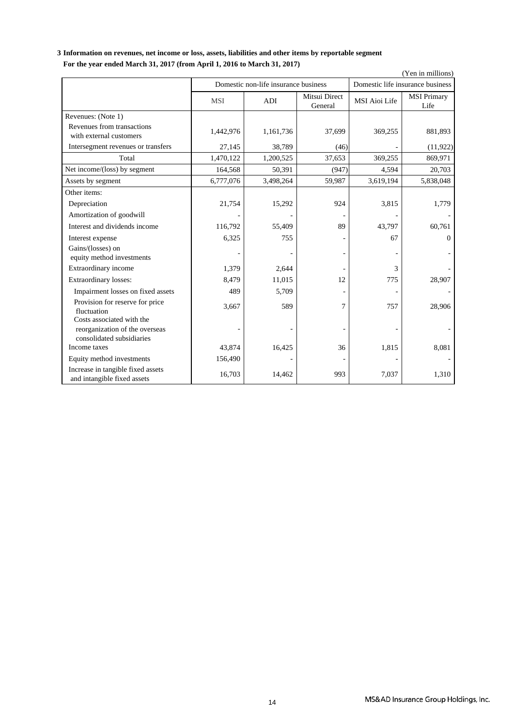## **3 Information on revenues, net income or loss, assets, liabilities and other items by reportable segment For the year ended March 31, 2017 (from April 1, 2016 to March 31, 2017)**

|                                                                                          | (Yen in millions) |                                      |                          |                      |                                  |  |  |
|------------------------------------------------------------------------------------------|-------------------|--------------------------------------|--------------------------|----------------------|----------------------------------|--|--|
|                                                                                          |                   | Domestic non-life insurance business |                          |                      | Domestic life insurance business |  |  |
|                                                                                          | <b>MSI</b>        | ADI                                  | Mitsui Direct<br>General | <b>MSI</b> Aioi Life | <b>MSI Primary</b><br>Life       |  |  |
| Revenues: (Note 1)                                                                       |                   |                                      |                          |                      |                                  |  |  |
| Revenues from transactions<br>with external customers                                    | 1,442,976         | 1,161,736                            | 37,699                   | 369,255              | 881,893                          |  |  |
| Intersegment revenues or transfers                                                       | 27,145            | 38,789                               | (46)                     |                      | (11, 922)                        |  |  |
| Total                                                                                    | 1,470,122         | 1,200,525                            | 37,653                   | 369,255              | 869,971                          |  |  |
| Net income/(loss) by segment                                                             | 164,568           | 50,391                               | (947)                    | 4,594                | 20,703                           |  |  |
| Assets by segment                                                                        | 6,777,076         | 3,498,264                            | 59,987                   | 3,619,194            | 5,838,048                        |  |  |
| Other items:                                                                             |                   |                                      |                          |                      |                                  |  |  |
| Depreciation                                                                             | 21,754            | 15,292                               | 924                      | 3,815                | 1,779                            |  |  |
| Amortization of goodwill                                                                 |                   |                                      |                          |                      |                                  |  |  |
| Interest and dividends income                                                            | 116,792           | 55,409                               | 89                       | 43,797               | 60,761                           |  |  |
| Interest expense                                                                         | 6,325             | 755                                  |                          | 67                   | $\Omega$                         |  |  |
| Gains/(losses) on<br>equity method investments                                           |                   |                                      |                          |                      |                                  |  |  |
| Extraordinary income                                                                     | 1,379             | 2,644                                |                          | 3                    |                                  |  |  |
| Extraordinary losses:                                                                    | 8,479             | 11,015                               | 12                       | 775                  | 28,907                           |  |  |
| Impairment losses on fixed assets                                                        | 489               | 5,709                                |                          |                      |                                  |  |  |
| Provision for reserve for price<br>fluctuation                                           | 3,667             | 589                                  | 7                        | 757                  | 28,906                           |  |  |
| Costs associated with the<br>reorganization of the overseas<br>consolidated subsidiaries |                   |                                      |                          |                      |                                  |  |  |
| Income taxes                                                                             | 43,874            | 16,425                               | 36                       | 1,815                | 8,081                            |  |  |
| Equity method investments                                                                | 156,490           |                                      |                          |                      |                                  |  |  |
| Increase in tangible fixed assets<br>and intangible fixed assets                         | 16,703            | 14,462                               | 993                      | 7,037                | 1,310                            |  |  |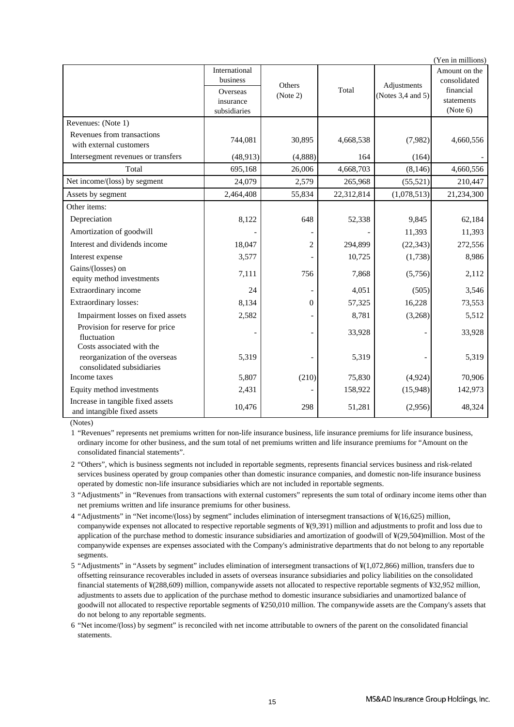| (Yen in millions)                                                           |                                                                    |                    |            |                                  |                                                                      |  |  |
|-----------------------------------------------------------------------------|--------------------------------------------------------------------|--------------------|------------|----------------------------------|----------------------------------------------------------------------|--|--|
|                                                                             | International<br>business<br>Overseas<br>insurance<br>subsidiaries | Others<br>(Note 2) | Total      | Adjustments<br>(Notes 3,4 and 5) | Amount on the<br>consolidated<br>financial<br>statements<br>(Note 6) |  |  |
| Revenues: (Note 1)                                                          |                                                                    |                    |            |                                  |                                                                      |  |  |
| Revenues from transactions<br>with external customers                       | 744,081                                                            | 30,895             | 4,668,538  | (7,982)                          | 4,660,556                                                            |  |  |
| Intersegment revenues or transfers                                          | (48, 913)                                                          | (4,888)            | 164        | (164)                            |                                                                      |  |  |
| Total                                                                       | 695,168                                                            | 26,006             | 4,668,703  | (8, 146)                         | 4,660,556                                                            |  |  |
| Net income/(loss) by segment                                                | 24,079                                                             | 2,579              | 265,968    | (55, 521)                        | 210,447                                                              |  |  |
| Assets by segment                                                           | 2,464,408                                                          | 55,834             | 22,312,814 | (1,078,513)                      | 21,234,300                                                           |  |  |
| Other items:                                                                |                                                                    |                    |            |                                  |                                                                      |  |  |
| Depreciation                                                                | 8,122                                                              | 648                | 52,338     | 9,845                            | 62.184                                                               |  |  |
| Amortization of goodwill                                                    |                                                                    |                    |            | 11,393                           | 11,393                                                               |  |  |
| Interest and dividends income                                               | 18,047                                                             | $\overline{2}$     | 294,899    | (22, 343)                        | 272,556                                                              |  |  |
| Interest expense                                                            | 3,577                                                              |                    | 10,725     | (1,738)                          | 8,986                                                                |  |  |
| Gains/(losses) on<br>equity method investments                              | 7,111                                                              | 756                | 7,868      | (5,756)                          | 2,112                                                                |  |  |
| Extraordinary income                                                        | 24                                                                 |                    | 4,051      | (505)                            | 3,546                                                                |  |  |
| Extraordinary losses:                                                       | 8,134                                                              | $\mathbf{0}$       | 57,325     | 16,228                           | 73,553                                                               |  |  |
| Impairment losses on fixed assets                                           | 2,582                                                              |                    | 8,781      | (3,268)                          | 5,512                                                                |  |  |
| Provision for reserve for price<br>fluctuation<br>Costs associated with the |                                                                    |                    | 33,928     |                                  | 33,928                                                               |  |  |
| reorganization of the overseas<br>consolidated subsidiaries                 | 5,319                                                              |                    | 5,319      |                                  | 5,319                                                                |  |  |
| Income taxes                                                                | 5,807                                                              | (210)              | 75,830     | (4,924)                          | 70,906                                                               |  |  |
| Equity method investments                                                   | 2,431                                                              |                    | 158,922    | (15,948)                         | 142,973                                                              |  |  |
| Increase in tangible fixed assets<br>and intangible fixed assets            | 10,476                                                             | 298                | 51,281     | (2,956)                          | 48,324                                                               |  |  |

(Notes)

1 "Revenues" represents net premiums written for non-life insurance business, life insurance premiums for life insurance business, ordinary income for other business, and the sum total of net premiums written and life insurance premiums for "Amount on the consolidated financial statements".

2 "Others", which is business segments not included in reportable segments, represents financial services business and risk-related services business operated by group companies other than domestic insurance companies, and domestic non-life insurance business operated by domestic non-life insurance subsidiaries which are not included in reportable segments.

- 3 "Adjustments" in "Revenues from transactions with external customers" represents the sum total of ordinary income items other than net premiums written and life insurance premiums for other business.
- 4 "Adjustments" in "Net income/(loss) by segment" includes elimination of intersegment transactions of ¥(16,625) million, companywide expenses not allocated to respective reportable segments of ¥(9,391) million and adjustments to profit and loss due to application of the purchase method to domestic insurance subsidiaries and amortization of goodwill of ¥(29,504)million. Most of the companywide expenses are expenses associated with the Company's administrative departments that do not belong to any reportable segments.
- 5 "Adjustments" in "Assets by segment" includes elimination of intersegment transactions of ¥(1,072,866) million, transfers due to offsetting reinsurance recoverables included in assets of overseas insurance subsidiaries and policy liabilities on the consolidated financial statements of ¥(288,609) million, companywide assets not allocated to respective reportable segments of ¥32,952 million, adjustments to assets due to application of the purchase method to domestic insurance subsidiaries and unamortized balance of goodwill not allocated to respective reportable segments of ¥250,010 million. The companywide assets are the Company's assets that do not belong to any reportable segments.
- 6 "Net income/(loss) by segment" is reconciled with net income attributable to owners of the parent on the consolidated financial statements.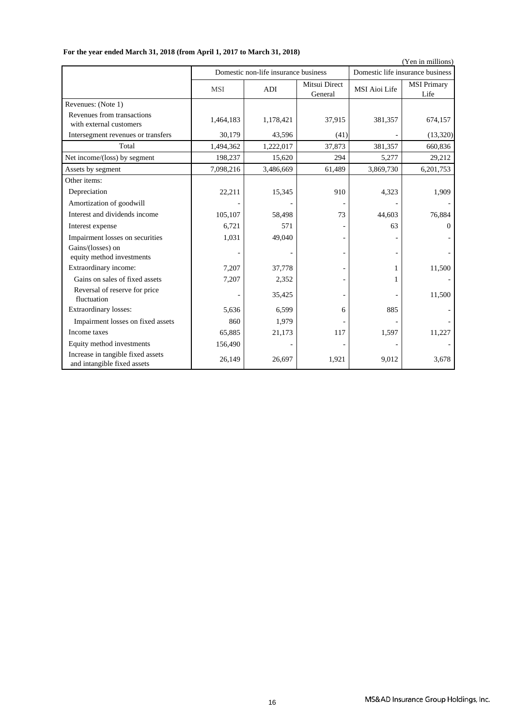|                                                                  | (Yen in millions) |                                      |                          |                      |                                  |  |  |
|------------------------------------------------------------------|-------------------|--------------------------------------|--------------------------|----------------------|----------------------------------|--|--|
|                                                                  |                   | Domestic non-life insurance business |                          |                      | Domestic life insurance business |  |  |
|                                                                  | <b>MSI</b>        | ADI                                  | Mitsui Direct<br>General | <b>MSI Aioi Life</b> | <b>MSI Primary</b><br>Life       |  |  |
| Revenues: (Note 1)                                               |                   |                                      |                          |                      |                                  |  |  |
| Revenues from transactions<br>with external customers            | 1,464,183         | 1,178,421                            | 37,915                   | 381,357              | 674,157                          |  |  |
| Intersegment revenues or transfers                               | 30,179            | 43,596                               | (41)                     |                      | (13, 320)                        |  |  |
| Total                                                            | 1,494,362         | 1,222,017                            | 37,873                   | 381,357              | 660,836                          |  |  |
| Net income/(loss) by segment                                     | 198,237           | 15,620                               | 294                      | 5,277                | 29,212                           |  |  |
| Assets by segment                                                | 7,098,216         | 3,486,669                            | 61,489                   | 3,869,730            | 6,201,753                        |  |  |
| Other items:                                                     |                   |                                      |                          |                      |                                  |  |  |
| Depreciation                                                     | 22,211            | 15,345                               | 910                      | 4,323                | 1,909                            |  |  |
| Amortization of goodwill                                         |                   |                                      |                          |                      |                                  |  |  |
| Interest and dividends income                                    | 105,107           | 58,498                               | 73                       | 44,603               | 76,884                           |  |  |
| Interest expense                                                 | 6,721             | 571                                  |                          | 63                   | $\Omega$                         |  |  |
| Impairment losses on securities                                  | 1,031             | 49,040                               |                          |                      |                                  |  |  |
| Gains/(losses) on<br>equity method investments                   |                   |                                      |                          |                      |                                  |  |  |
| Extraordinary income:                                            | 7,207             | 37,778                               |                          |                      | 11,500                           |  |  |
| Gains on sales of fixed assets                                   | 7,207             | 2,352                                |                          | 1                    |                                  |  |  |
| Reversal of reserve for price<br>fluctuation                     |                   | 35,425                               |                          |                      | 11,500                           |  |  |
| Extraordinary losses:                                            | 5,636             | 6,599                                | 6                        | 885                  |                                  |  |  |
| Impairment losses on fixed assets                                | 860               | 1,979                                |                          |                      |                                  |  |  |
| Income taxes                                                     | 65,885            | 21,173                               | 117                      | 1,597                | 11,227                           |  |  |
| Equity method investments                                        | 156,490           |                                      |                          |                      |                                  |  |  |
| Increase in tangible fixed assets<br>and intangible fixed assets | 26,149            | 26,697                               | 1,921                    | 9,012                | 3,678                            |  |  |

## **For the year ended March 31, 2018 (from April 1, 2017 to March 31, 2018)**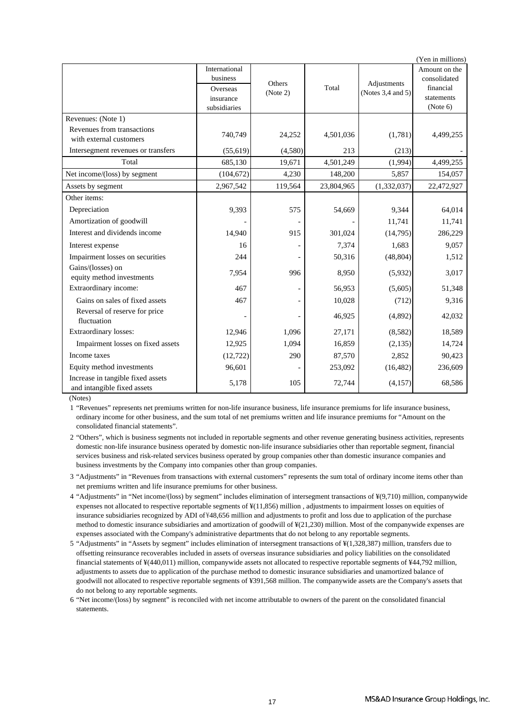|                                                                  |                                                                    |                    |            |                                  | (Yen in millions)                                                    |
|------------------------------------------------------------------|--------------------------------------------------------------------|--------------------|------------|----------------------------------|----------------------------------------------------------------------|
|                                                                  | International<br>business<br>Overseas<br>insurance<br>subsidiaries | Others<br>(Note 2) | Total      | Adjustments<br>(Notes 3,4 and 5) | Amount on the<br>consolidated<br>financial<br>statements<br>(Note 6) |
| Revenues: (Note 1)                                               |                                                                    |                    |            |                                  |                                                                      |
| Revenues from transactions<br>with external customers            | 740,749                                                            | 24,252             | 4,501,036  | (1,781)                          | 4,499,255                                                            |
| Intersegment revenues or transfers                               | (55, 619)                                                          | (4,580)            | 213        | (213)                            |                                                                      |
| Total                                                            | 685,130                                                            | 19,671             | 4,501,249  | (1,994)                          | 4,499,255                                                            |
| Net income/(loss) by segment                                     | (104, 672)                                                         | 4,230              | 148,200    | 5,857                            | 154,057                                                              |
| Assets by segment                                                | 2,967,542                                                          | 119,564            | 23,804,965 | (1, 332, 037)                    | 22,472,927                                                           |
| Other items:                                                     |                                                                    |                    |            |                                  |                                                                      |
| Depreciation                                                     | 9,393                                                              | 575                | 54,669     | 9,344                            | 64.014                                                               |
| Amortization of goodwill                                         |                                                                    |                    |            | 11,741                           | 11,741                                                               |
| Interest and dividends income                                    | 14,940                                                             | 915                | 301,024    | (14,795)                         | 286,229                                                              |
| Interest expense                                                 | 16                                                                 |                    | 7,374      | 1,683                            | 9,057                                                                |
| Impairment losses on securities                                  | 244                                                                |                    | 50,316     | (48, 804)                        | 1,512                                                                |
| Gains/(losses) on<br>equity method investments                   | 7,954                                                              | 996                | 8,950      | (5,932)                          | 3,017                                                                |
| Extraordinary income:                                            | 467                                                                |                    | 56,953     | (5,605)                          | 51,348                                                               |
| Gains on sales of fixed assets                                   | 467                                                                |                    | 10,028     | (712)                            | 9,316                                                                |
| Reversal of reserve for price<br>fluctuation                     |                                                                    |                    | 46,925     | (4,892)                          | 42,032                                                               |
| Extraordinary losses:                                            | 12,946                                                             | 1,096              | 27,171     | (8,582)                          | 18,589                                                               |
| Impairment losses on fixed assets                                | 12,925                                                             | 1,094              | 16,859     | (2,135)                          | 14,724                                                               |
| Income taxes                                                     | (12, 722)                                                          | 290                | 87,570     | 2,852                            | 90,423                                                               |
| Equity method investments                                        | 96,601                                                             |                    | 253,092    | (16, 482)                        | 236,609                                                              |
| Increase in tangible fixed assets<br>and intangible fixed assets | 5,178                                                              | 105                | 72,744     | (4,157)                          | 68,586                                                               |

(Notes)

1 "Revenues" represents net premiums written for non-life insurance business, life insurance premiums for life insurance business, ordinary income for other business, and the sum total of net premiums written and life insurance premiums for "Amount on the consolidated financial statements".

2 "Others", which is business segments not included in reportable segments and other revenue generating business activities, represents domestic non-life insurance business operated by domestic non-life insurance subsidiaries other than reportable segment, financial services business and risk-related services business operated by group companies other than domestic insurance companies and business investments by the Company into companies other than group companies.

3 "Adjustments" in "Revenues from transactions with external customers" represents the sum total of ordinary income items other than net premiums written and life insurance premiums for other business.

- 4 "Adjustments" in "Net income/(loss) by segment" includes elimination of intersegment transactions of ¥(9,710) million, companywide expenses not allocated to respective reportable segments of ¥(11,856) million , adjustments to impairment losses on equities of insurance subsidiaries recognized by ADI of ¥48,656 million and adjustments to profit and loss due to application of the purchase method to domestic insurance subsidiaries and amortization of goodwill of ¥(21,230) million. Most of the companywide expenses are expenses associated with the Company's administrative departments that do not belong to any reportable segments.
- 5 "Adjustments" in "Assets by segment" includes elimination of intersegment transactions of ¥(1,328,387) million, transfers due to offsetting reinsurance recoverables included in assets of overseas insurance subsidiaries and policy liabilities on the consolidated financial statements of ¥(440,011) million, companywide assets not allocated to respective reportable segments of ¥44,792 million, adjustments to assets due to application of the purchase method to domestic insurance subsidiaries and unamortized balance of goodwill not allocated to respective reportable segments of ¥391,568 million. The companywide assets are the Company's assets that do not belong to any reportable segments.
- 6 "Net income/(loss) by segment" is reconciled with net income attributable to owners of the parent on the consolidated financial statements.